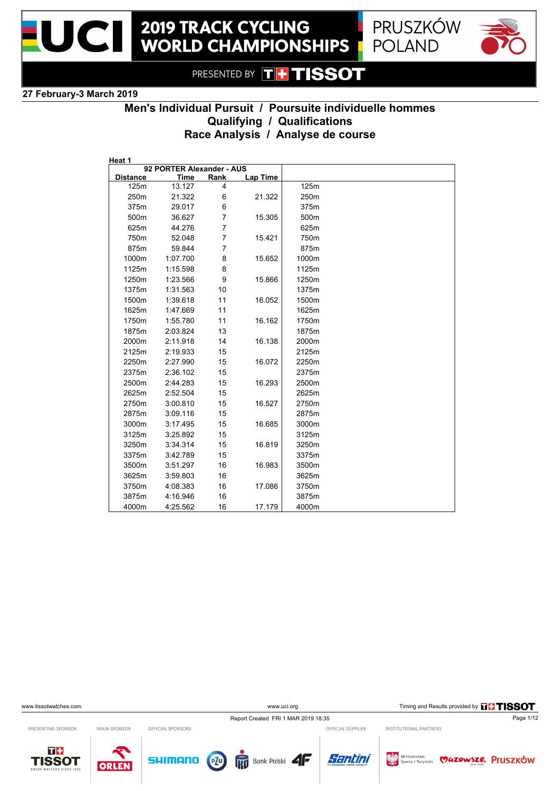



**POLAND** 

PRESENTED BY **THE TISSOT** 

### **27 February-3 March 2019**

## **Men's Individual Pursuit / Poursuite individuelle hommes Qualifying / Qualifications Race Analysis / Analyse de course**

| Heat 1          | 92 PORTER Alexander - AUS |                |          |       |  |
|-----------------|---------------------------|----------------|----------|-------|--|
| <b>Distance</b> | Time                      | Rank           | Lap Time |       |  |
| 125m            | 13.127                    | 4              |          | 125m  |  |
| 250m            | 21.322                    | 6              | 21.322   | 250m  |  |
| 375m            | 29.017                    | 6              |          | 375m  |  |
| 500m            | 36.627                    | $\overline{7}$ | 15.305   | 500m  |  |
| 625m            | 44.276                    | $\overline{7}$ |          | 625m  |  |
| 750m            | 52.048                    | $\overline{7}$ | 15.421   | 750m  |  |
| 875m            | 59.844                    | $\overline{7}$ |          | 875m  |  |
| 1000m           | 1:07.700                  | 8              | 15.652   | 1000m |  |
| 1125m           | 1:15.598                  | 8              |          | 1125m |  |
| 1250m           | 1:23.566                  | 9              | 15.866   | 1250m |  |
| 1375m           | 1:31.563                  | 10             |          | 1375m |  |
| 1500m           | 1:39.618                  | 11             | 16.052   | 1500m |  |
| 1625m           | 1:47.669                  | 11             |          | 1625m |  |
| 1750m           | 1:55.780                  | 11             | 16.162   | 1750m |  |
| 1875m           | 2:03.824                  | 13             |          | 1875m |  |
| 2000m           | 2:11.918                  | 14             | 16.138   | 2000m |  |
| 2125m           | 2:19.933                  | 15             |          | 2125m |  |
| 2250m           | 2:27.990                  | 15             | 16.072   | 2250m |  |
| 2375m           | 2:36.102                  | 15             |          | 2375m |  |
| 2500m           | 2:44.283                  | 15             | 16.293   | 2500m |  |
| 2625m           | 2:52.504                  | 15             |          | 2625m |  |
| 2750m           | 3:00.810                  | 15             | 16.527   | 2750m |  |
| 2875m           | 3:09.116                  | 15             |          | 2875m |  |
| 3000m           | 3:17.495                  | 15             | 16.685   | 3000m |  |
| 3125m           | 3:25.892                  | 15             |          | 3125m |  |
| 3250m           | 3:34.314                  | 15             | 16.819   | 3250m |  |
| 3375m           | 3:42.789                  | 15             |          | 3375m |  |
| 3500m           | 3:51.297                  | 16             | 16.983   | 3500m |  |
| 3625m           | 3:59.803                  | 16             |          | 3625m |  |
| 3750m           | 4:08.383                  | 16             | 17.086   | 3750m |  |
| 3875m           | 4:16.946                  | 16             |          | 3875m |  |
| 4000m           | 4:25.562                  | 16             | 17.179   | 4000m |  |

www.uci.org Timing and Results provided by **THSSOT** 

Report Created FRI 1 MAR 2019 18:35 Page 1/12 OFFICIAL SUPPLIER

PRESENTING SPONSOR

 $T +$ 

**TISSOT** 

MAIN SPONSOR OFFICIAL SPONSORS

ORLEN

**SHIMANO** 







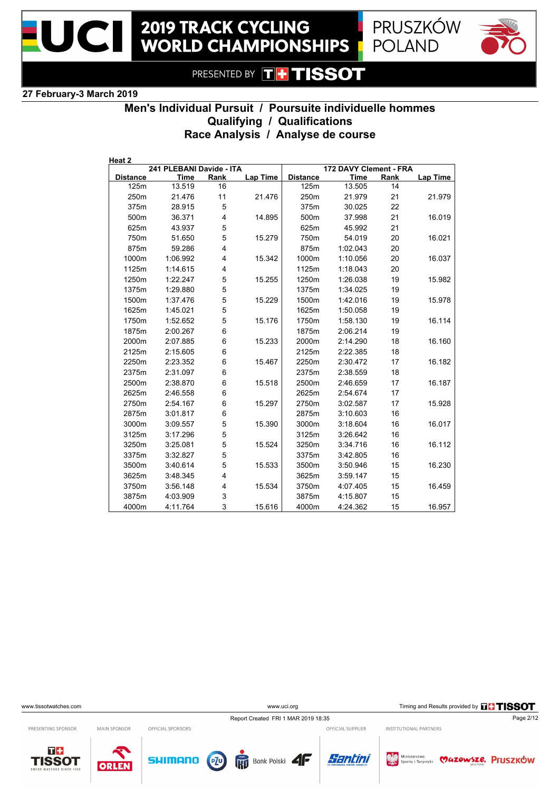





#### **27 February-3 March 2019**

# **Men's Individual Pursuit / Poursuite individuelle hommes Qualifying / Qualifications Race Analysis / Analyse de course**

| Heat 2          |                          |      |          |                        |             |      |          |  |
|-----------------|--------------------------|------|----------|------------------------|-------------|------|----------|--|
|                 | 241 PLEBANI Davide - ITA |      |          | 172 DAVY Clement - FRA |             |      |          |  |
| <b>Distance</b> | <b>Time</b>              | Rank | Lap Time | <b>Distance</b>        | <b>Time</b> | Rank | Lap Time |  |
| 125m            | 13.519                   | 16   |          | 125m                   | 13.505      | 14   |          |  |
| 250m            | 21.476                   | 11   | 21.476   | 250m                   | 21.979      | 21   | 21.979   |  |
| 375m            | 28.915                   | 5    |          | 375m                   | 30.025      | 22   |          |  |
| 500m            | 36.371                   | 4    | 14.895   | 500m                   | 37.998      | 21   | 16.019   |  |
| 625m            | 43.937                   | 5    |          | 625m                   | 45.992      | 21   |          |  |
| 750m            | 51.650                   | 5    | 15.279   | 750m                   | 54.019      | 20   | 16.021   |  |
| 875m            | 59.286                   | 4    |          | 875m                   | 1:02.043    | 20   |          |  |
| 1000m           | 1:06.992                 | 4    | 15.342   | 1000m                  | 1:10.056    | 20   | 16.037   |  |
| 1125m           | 1:14.615                 | 4    |          | 1125m                  | 1:18.043    | 20   |          |  |
| 1250m           | 1:22.247                 | 5    | 15.255   | 1250m                  | 1:26.038    | 19   | 15.982   |  |
| 1375m           | 1:29.880                 | 5    |          | 1375m                  | 1:34.025    | 19   |          |  |
| 1500m           | 1:37.476                 | 5    | 15.229   | 1500m                  | 1:42.016    | 19   | 15.978   |  |
| 1625m           | 1:45.021                 | 5    |          | 1625m                  | 1:50.058    | 19   |          |  |
| 1750m           | 1:52.652                 | 5    | 15.176   | 1750m                  | 1:58.130    | 19   | 16.114   |  |
| 1875m           | 2:00.267                 | 6    |          | 1875m                  | 2:06.214    | 19   |          |  |
| 2000m           | 2:07.885                 | 6    | 15.233   | 2000m                  | 2:14.290    | 18   | 16.160   |  |
| 2125m           | 2:15.605                 | 6    |          | 2125m                  | 2:22.385    | 18   |          |  |
| 2250m           | 2:23.352                 | 6    | 15.467   | 2250m                  | 2:30.472    | 17   | 16.182   |  |
| 2375m           | 2:31.097                 | 6    |          | 2375m                  | 2:38.559    | 18   |          |  |
| 2500m           | 2:38.870                 | 6    | 15.518   | 2500m                  | 2:46.659    | 17   | 16.187   |  |
| 2625m           | 2:46.558                 | 6    |          | 2625m                  | 2:54.674    | 17   |          |  |
| 2750m           | 2:54.167                 | 6    | 15.297   | 2750m                  | 3:02.587    | 17   | 15.928   |  |
| 2875m           | 3:01.817                 | 6    |          | 2875m                  | 3:10.603    | 16   |          |  |
| 3000m           | 3:09.557                 | 5    | 15.390   | 3000m                  | 3:18.604    | 16   | 16.017   |  |
| 3125m           | 3:17.296                 | 5    |          | 3125m                  | 3:26.642    | 16   |          |  |
| 3250m           | 3:25.081                 | 5    | 15.524   | 3250m                  | 3:34.716    | 16   | 16.112   |  |
| 3375m           | 3:32.827                 | 5    |          | 3375m                  | 3:42.805    | 16   |          |  |
| 3500m           | 3:40.614                 | 5    | 15.533   | 3500m                  | 3:50.946    | 15   | 16.230   |  |
| 3625m           | 3:48.345                 | 4    |          | 3625m                  | 3:59.147    | 15   |          |  |
| 3750m           | 3:56.148                 | 4    | 15.534   | 3750m                  | 4:07.405    | 15   | 16.459   |  |
| 3875m           | 4:03.909                 | 3    |          | 3875m                  | 4:15.807    | 15   |          |  |
|                 |                          |      |          |                        |             |      |          |  |
| 4000m           | 4:11.764                 | 3    | 15.616   | 4000m                  | 4:24.362    | 15   | 16.957   |  |

www.uci.org Timing and Results provided by **THSSOT** 

INSTITUTIONAL PARTNERS

Report Created FRI 1 MAR 2019 18:35 Page 2/12 OFFICIAL SUPPLIER

PRESENTING SPONSOR

MAIN SPONSOR OFFICIAL SPONSORS

 $T +$ **TISSOT** 









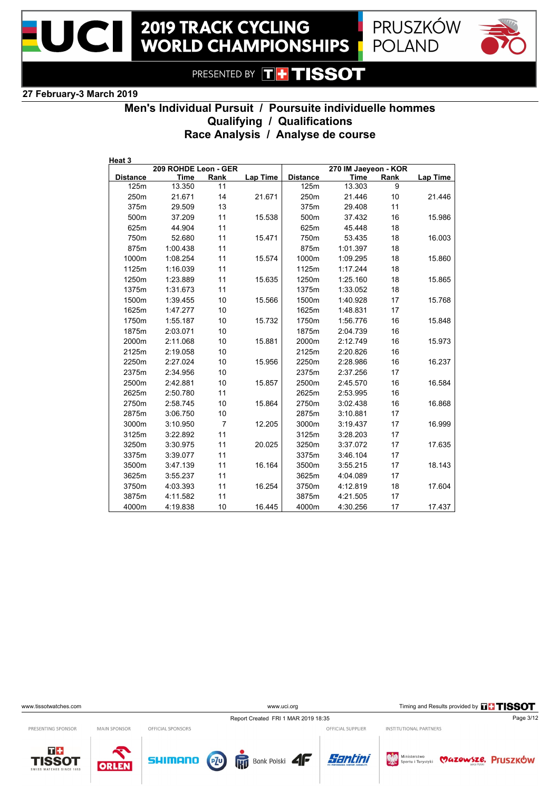



### **27 February-3 March 2019**

# **Men's Individual Pursuit / Poursuite individuelle hommes Qualifying / Qualifications Race Analysis / Analyse de course**

| Heat 3          | 209 ROHDE Leon - GER |                |                 |                 | 270 IM Jaeyeon - KOR |      |          |
|-----------------|----------------------|----------------|-----------------|-----------------|----------------------|------|----------|
| <b>Distance</b> | Time                 | Rank           | <b>Lap Time</b> | <b>Distance</b> | <b>Time</b>          | Rank | Lap Time |
| 125m            | 13.350               | 11             |                 | 125m            | 13.303               | 9    |          |
| 250m            | 21.671               | 14             | 21.671          | 250m            | 21.446               | 10   | 21.446   |
| 375m            | 29.509               | 13             |                 | 375m            | 29.408               | 11   |          |
| 500m            | 37.209               | 11             | 15.538          | 500m            | 37.432               | 16   | 15.986   |
| 625m            | 44.904               | 11             |                 | 625m            | 45.448               | 18   |          |
| 750m            | 52.680               | 11             | 15.471          | 750m            | 53.435               | 18   | 16.003   |
| 875m            | 1:00.438             | 11             |                 | 875m            | 1:01.397             | 18   |          |
| 1000m           | 1:08.254             | 11             | 15.574          | 1000m           | 1:09.295             | 18   | 15.860   |
| 1125m           | 1:16.039             | 11             |                 | 1125m           | 1:17.244             | 18   |          |
| 1250m           | 1:23.889             | 11             | 15.635          | 1250m           | 1:25.160             | 18   | 15.865   |
| 1375m           | 1:31.673             | 11             |                 | 1375m           | 1:33.052             | 18   |          |
| 1500m           | 1:39.455             | 10             | 15.566          | 1500m           | 1:40.928             | 17   | 15.768   |
| 1625m           | 1:47.277             | 10             |                 | 1625m           | 1:48.831             | 17   |          |
| 1750m           | 1:55.187             | 10             | 15.732          | 1750m           | 1:56.776             | 16   | 15.848   |
| 1875m           | 2:03.071             | 10             |                 | 1875m           | 2:04.739             | 16   |          |
| 2000m           | 2:11.068             | 10             | 15.881          | 2000m           | 2:12.749             | 16   | 15.973   |
| 2125m           | 2:19.058             | 10             |                 | 2125m           | 2:20.826             | 16   |          |
| 2250m           | 2:27.024             | 10             | 15.956          | 2250m           | 2:28.986             | 16   | 16.237   |
| 2375m           | 2:34.956             | 10             |                 | 2375m           | 2:37.256             | 17   |          |
| 2500m           | 2:42.881             | 10             | 15.857          | 2500m           | 2:45.570             | 16   | 16.584   |
| 2625m           | 2:50.780             | 11             |                 | 2625m           | 2:53.995             | 16   |          |
| 2750m           | 2:58.745             | 10             | 15.864          | 2750m           | 3:02.438             | 16   | 16.868   |
| 2875m           | 3:06.750             | 10             |                 | 2875m           | 3:10.881             | 17   |          |
| 3000m           | 3:10.950             | $\overline{7}$ | 12.205          | 3000m           | 3:19.437             | 17   | 16.999   |
| 3125m           | 3:22.892             | 11             |                 | 3125m           | 3:28.203             | 17   |          |
| 3250m           | 3:30.975             | 11             | 20.025          | 3250m           | 3:37.072             | 17   | 17.635   |
| 3375m           | 3:39.077             | 11             |                 | 3375m           | 3:46.104             | 17   |          |
| 3500m           | 3:47.139             | 11             | 16.164          | 3500m           | 3:55.215             | 17   | 18.143   |
| 3625m           | 3:55.237             | 11             |                 | 3625m           | 4:04.089             | 17   |          |
| 3750m           | 4:03.393             | 11             | 16.254          | 3750m           | 4:12.819             | 18   | 17.604   |
| 3875m           | 4:11.582             | 11             |                 | 3875m           | 4:21.505             | 17   |          |
| 4000m           | 4:19.838             | 10             | 16.445          | 4000m           | 4:30.256             | 17   | 17.437   |

www.uci.org Timing and Results provided by **THSSOT** 

Report Created FRI 1 MAR 2019 18:35 Page 3/12

Bank Polski

PRESENTING SPONSOR

MAIN SPONSOR

ORLEN





OFFICIAL SPONSORS

**SHIMANO** 

OFFICIAL SUPPLIER

Santini

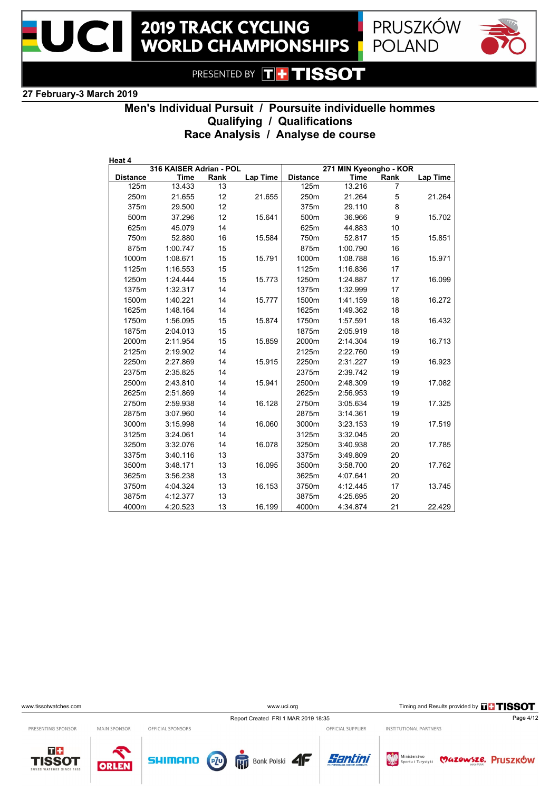





### **27 February-3 March 2019**

# **Men's Individual Pursuit / Poursuite individuelle hommes Qualifying / Qualifications Race Analysis / Analyse de course**

| Heat 4          | 316 KAISER Adrian - POL |      |          |                 | 271 MIN Kyeongho - KOR |      |                 |
|-----------------|-------------------------|------|----------|-----------------|------------------------|------|-----------------|
| <b>Distance</b> | Time                    | Rank | Lap Time | <b>Distance</b> | <b>Time</b>            | Rank | <b>Lap Time</b> |
| 125m            | 13.433                  | 13   |          | 125m            | 13.216                 | 7    |                 |
| 250m            | 21.655                  | 12   | 21.655   | 250m            | 21.264                 | 5    | 21.264          |
| 375m            | 29.500                  | 12   |          | 375m            | 29.110                 | 8    |                 |
| 500m            | 37.296                  | 12   | 15.641   | 500m            | 36.966                 | 9    | 15.702          |
| 625m            | 45.079                  | 14   |          | 625m            | 44.883                 | 10   |                 |
| 750m            | 52.880                  | 16   | 15.584   | 750m            | 52.817                 | 15   | 15.851          |
| 875m            | 1:00.747                | 15   |          | 875m            | 1:00.790               | 16   |                 |
| 1000m           | 1:08.671                | 15   | 15.791   | 1000m           | 1:08.788               | 16   | 15.971          |
| 1125m           | 1:16.553                | 15   |          | 1125m           | 1:16.836               | 17   |                 |
| 1250m           | 1:24.444                | 15   | 15.773   | 1250m           | 1:24.887               | 17   | 16.099          |
| 1375m           | 1:32.317                | 14   |          | 1375m           | 1:32.999               | 17   |                 |
| 1500m           | 1:40.221                | 14   | 15.777   | 1500m           | 1:41.159               | 18   | 16.272          |
| 1625m           | 1:48.164                | 14   |          | 1625m           | 1:49.362               | 18   |                 |
| 1750m           | 1:56.095                | 15   | 15.874   | 1750m           | 1:57.591               | 18   | 16.432          |
| 1875m           | 2:04.013                | 15   |          | 1875m           | 2:05.919               | 18   |                 |
| 2000m           | 2:11.954                | 15   | 15.859   | 2000m           | 2:14.304               | 19   | 16.713          |
| 2125m           | 2:19.902                | 14   |          | 2125m           | 2:22.760               | 19   |                 |
| 2250m           | 2:27.869                | 14   | 15.915   | 2250m           | 2:31.227               | 19   | 16.923          |
| 2375m           | 2:35.825                | 14   |          | 2375m           | 2:39.742               | 19   |                 |
| 2500m           | 2:43.810                | 14   | 15.941   | 2500m           | 2:48.309               | 19   | 17.082          |
| 2625m           | 2:51.869                | 14   |          | 2625m           | 2:56.953               | 19   |                 |
| 2750m           | 2:59.938                | 14   | 16.128   | 2750m           | 3:05.634               | 19   | 17.325          |
| 2875m           | 3:07.960                | 14   |          | 2875m           | 3:14.361               | 19   |                 |
| 3000m           | 3:15.998                | 14   | 16.060   | 3000m           | 3:23.153               | 19   | 17.519          |
| 3125m           | 3:24.061                | 14   |          | 3125m           | 3:32.045               | 20   |                 |
| 3250m           | 3:32.076                | 14   | 16.078   | 3250m           | 3:40.938               | 20   | 17.785          |
| 3375m           | 3:40.116                | 13   |          | 3375m           | 3:49.809               | 20   |                 |
| 3500m           | 3:48.171                | 13   | 16.095   | 3500m           | 3:58.700               | 20   | 17.762          |
| 3625m           | 3:56.238                | 13   |          | 3625m           | 4:07.641               | 20   |                 |
| 3750m           | 4:04.324                | 13   | 16.153   | 3750m           | 4:12.445               | 17   | 13.745          |
| 3875m           | 4:12.377                | 13   |          | 3875m           | 4:25.695               | 20   |                 |
| 4000m           | 4:20.523                | 13   | 16.199   | 4000m           | 4:34.874               | 21   | 22.429          |

www.uci.org Timing and Results provided by **THSSOT** 

Report Created FRI 1 MAR 2019 18:35 Page 4/12

Bank Polski

PRESENTING SPONSOR

MAIN SPONSOR

ORLEN





OFFICIAL SPONSORS

**SHIMANO** 

OFFICIAL SUPPLIER

Santini

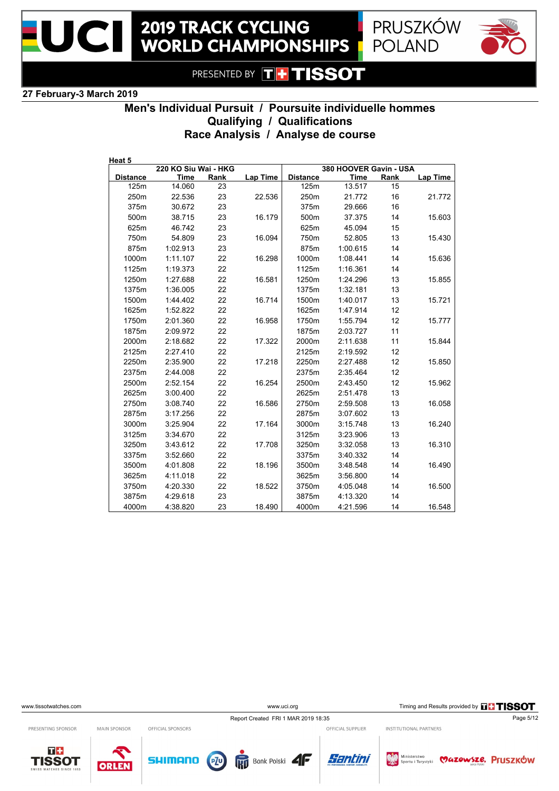







**27 February-3 March 2019**

# **Men's Individual Pursuit / Poursuite individuelle hommes Qualifying / Qualifications Race Analysis / Analyse de course**

| Heat 5          |                      |      |          |                 |                        |      |          |
|-----------------|----------------------|------|----------|-----------------|------------------------|------|----------|
|                 | 220 KO Siu Wai - HKG |      |          |                 | 380 HOOVER Gavin - USA |      |          |
| <b>Distance</b> | <b>Time</b>          | Rank | Lap Time | <b>Distance</b> | <b>Time</b>            | Rank | Lap Time |
| 125m            | 14.060               | 23   |          | 125m            | 13.517                 | 15   |          |
| 250m            | 22.536               | 23   | 22.536   | 250m            | 21.772                 | 16   | 21.772   |
| 375m            | 30.672               | 23   |          | 375m            | 29.666                 | 16   |          |
| 500m            | 38.715               | 23   | 16.179   | 500m            | 37.375                 | 14   | 15.603   |
| 625m            | 46.742               | 23   |          | 625m            | 45.094                 | 15   |          |
| 750m            | 54.809               | 23   | 16.094   | 750m            | 52.805                 | 13   | 15.430   |
| 875m            | 1:02.913             | 23   |          | 875m            | 1:00.615               | 14   |          |
| 1000m           | 1:11.107             | 22   | 16.298   | 1000m           | 1:08.441               | 14   | 15.636   |
| 1125m           | 1:19.373             | 22   |          | 1125m           | 1:16.361               | 14   |          |
| 1250m           | 1:27.688             | 22   | 16.581   | 1250m           | 1:24.296               | 13   | 15.855   |
| 1375m           | 1:36.005             | 22   |          | 1375m           | 1:32.181               | 13   |          |
| 1500m           | 1:44.402             | 22   | 16.714   | 1500m           | 1:40.017               | 13   | 15.721   |
| 1625m           | 1:52.822             | 22   |          | 1625m           | 1.47.914               | 12   |          |
| 1750m           | 2:01.360             | 22   | 16.958   | 1750m           | 1.55.794               | 12   | 15.777   |
| 1875m           | 2:09.972             | 22   |          | 1875m           | 2:03.727               | 11   |          |
| 2000m           | 2:18.682             | 22   | 17.322   | 2000m           | 2:11.638               | 11   | 15.844   |
| 2125m           | 2:27.410             | 22   |          | 2125m           | 2:19.592               | 12   |          |
| 2250m           | 2:35.900             | 22   | 17.218   | 2250m           | 2:27.488               | 12   | 15.850   |
| 2375m           | 2:44.008             | 22   |          | 2375m           | 2:35.464               | 12   |          |
| 2500m           | 2:52.154             | 22   | 16.254   | 2500m           | 2:43.450               | 12   | 15.962   |
| 2625m           | 3:00.400             | 22   |          | 2625m           | 2:51.478               | 13   |          |
| 2750m           | 3:08.740             | 22   | 16.586   | 2750m           | 2:59.508               | 13   | 16.058   |
| 2875m           | 3:17.256             | 22   |          | 2875m           | 3:07.602               | 13   |          |
| 3000m           | 3:25.904             | 22   | 17.164   | 3000m           | 3:15.748               | 13   | 16.240   |
| 3125m           | 3:34.670             | 22   |          | 3125m           | 3:23.906               | 13   |          |
| 3250m           | 3:43.612             | 22   | 17.708   | 3250m           | 3:32.058               | 13   | 16.310   |
| 3375m           | 3:52.660             | 22   |          | 3375m           | 3:40.332               | 14   |          |
| 3500m           | 4:01.808             | 22   | 18.196   | 3500m           | 3:48.548               | 14   | 16.490   |
| 3625m           | 4:11.018             | 22   |          | 3625m           | 3:56.800               | 14   |          |
| 3750m           | 4:20.330             | 22   | 18.522   | 3750m           | 4:05.048               | 14   | 16.500   |
| 3875m           | 4:29.618             | 23   |          | 3875m           | 4:13.320               | 14   |          |
| 4000m           | 4:38.820             | 23   | 18.490   | 4000m           | 4:21.596               | 14   | 16.548   |

www.uci.org Timing and Results provided by **THSSOT** 

INSTITUTIONAL PARTNERS

Report Created FRI 1 MAR 2019 18:35 Page 5/12 OFFICIAL SUPPLIER

PRESENTING SPONSOR

 $T +$ 

**TISSOT** 



OFFICIAL SPONSORS

ORLEN







Ministerstwo **WAZOWSZE. Pruszków**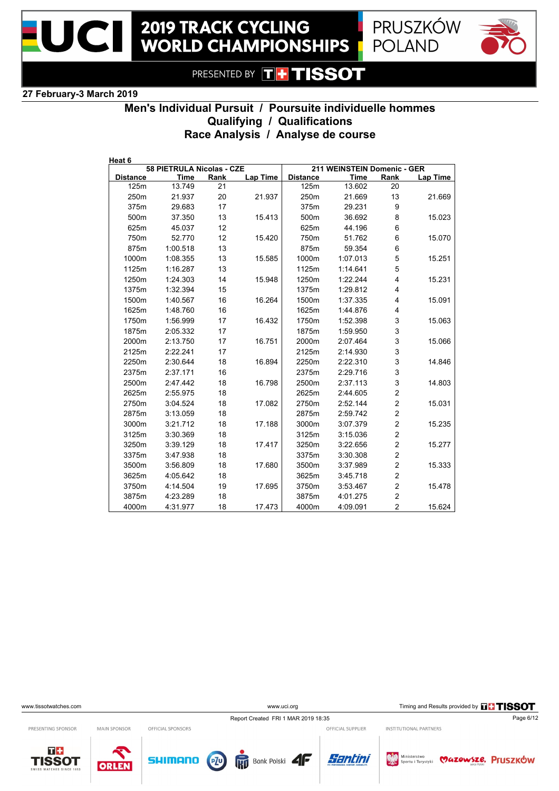





#### **27 February-3 March 2019**

# **Men's Individual Pursuit / Poursuite individuelle hommes Qualifying / Qualifications Race Analysis / Analyse de course**

| Heat 6          |                           |      |          |                 |                             |                         |          |
|-----------------|---------------------------|------|----------|-----------------|-----------------------------|-------------------------|----------|
|                 | 58 PIETRULA Nicolas - CZE |      |          |                 | 211 WEINSTEIN Domenic - GER |                         |          |
| <b>Distance</b> | <b>Time</b>               | Rank | Lap Time | <b>Distance</b> | <b>Time</b>                 | Rank                    | Lap Time |
| 125m            | 13.749                    | 21   |          | 125m            | 13.602                      | 20                      |          |
| 250m            | 21.937                    | 20   | 21.937   | 250m            | 21.669                      | 13                      | 21.669   |
| 375m            | 29.683                    | 17   |          | 375m            | 29.231                      | 9                       |          |
| 500m            | 37.350                    | 13   | 15.413   | 500m            | 36.692                      | 8                       | 15.023   |
| 625m            | 45.037                    | 12   |          | 625m            | 44.196                      | 6                       |          |
| 750m            | 52.770                    | 12   | 15.420   | 750m            | 51.762                      | 6                       | 15.070   |
| 875m            | 1:00.518                  | 13   |          | 875m            | 59.354                      | 6                       |          |
| 1000m           | 1:08.355                  | 13   | 15.585   | 1000m           | 1:07.013                    | 5                       | 15.251   |
| 1125m           | 1:16.287                  | 13   |          | 1125m           | 1:14.641                    | 5                       |          |
| 1250m           | 1:24.303                  | 14   | 15.948   | 1250m           | 1:22.244                    | $\overline{\mathbf{4}}$ | 15.231   |
| 1375m           | 1:32.394                  | 15   |          | 1375m           | 1:29.812                    | 4                       |          |
| 1500m           | 1:40.567                  | 16   | 16.264   | 1500m           | 1:37.335                    | 4                       | 15.091   |
| 1625m           | 1:48.760                  | 16   |          | 1625m           | 1:44.876                    | 4                       |          |
| 1750m           | 1:56.999                  | 17   | 16.432   | 1750m           | 1:52.398                    | 3                       | 15.063   |
| 1875m           | 2:05.332                  | 17   |          | 1875m           | 1:59.950                    | 3                       |          |
| 2000m           | 2:13.750                  | 17   | 16.751   | 2000m           | 2:07.464                    | 3                       | 15.066   |
| 2125m           | 2:22.241                  | 17   |          | 2125m           | 2:14.930                    | 3                       |          |
| 2250m           | 2:30.644                  | 18   | 16.894   | 2250m           | 2:22.310                    | 3                       | 14.846   |
| 2375m           | 2:37.171                  | 16   |          | 2375m           | 2:29.716                    | 3                       |          |
| 2500m           | 2:47.442                  | 18   | 16.798   | 2500m           | 2:37.113                    | 3                       | 14.803   |
| 2625m           | 2:55.975                  | 18   |          | 2625m           | 2:44.605                    | $\overline{c}$          |          |
| 2750m           | 3:04.524                  | 18   | 17.082   | 2750m           | 2:52.144                    | $\overline{c}$          | 15.031   |
| 2875m           | 3:13.059                  | 18   |          | 2875m           | 2:59.742                    | $\mathbf 2$             |          |
| 3000m           | 3:21.712                  | 18   | 17.188   | 3000m           | 3:07.379                    | $\overline{c}$          | 15.235   |
| 3125m           | 3:30.369                  | 18   |          | 3125m           | 3:15.036                    | $\overline{\mathbf{c}}$ |          |
| 3250m           | 3:39.129                  | 18   | 17.417   | 3250m           | 3:22.656                    | $\overline{\mathbf{c}}$ | 15.277   |
| 3375m           | 3:47.938                  | 18   |          | 3375m           | 3:30.308                    | $\overline{\mathbf{c}}$ |          |
| 3500m           | 3:56.809                  | 18   | 17.680   | 3500m           | 3:37.989                    | $\overline{\mathbf{c}}$ | 15.333   |
| 3625m           | 4:05.642                  | 18   |          | 3625m           | 3:45.718                    | $\overline{\mathbf{c}}$ |          |
| 3750m           | 4:14.504                  | 19   | 17.695   | 3750m           | 3:53.467                    | $\overline{c}$          | 15.478   |
| 3875m           | 4:23.289                  | 18   |          | 3875m           | 4:01.275                    | $\mathbf 2$             |          |
| 4000m           | 4:31.977                  | 18   | 17.473   | 4000m           | 4:09.091                    | $\overline{c}$          | 15.624   |

www.uci.org Timing and Results provided by **THSSOT** 

INSTITUTIONAL PARTNERS

Report Created FRI 1 MAR 2019 18:35 Page 6/12

PRESENTING SPONSOR

 $T +$ 

MAIN SPONSOR OFFICIAL SPONSORS

**TISSOT** 









OFFICIAL SUPPLIER

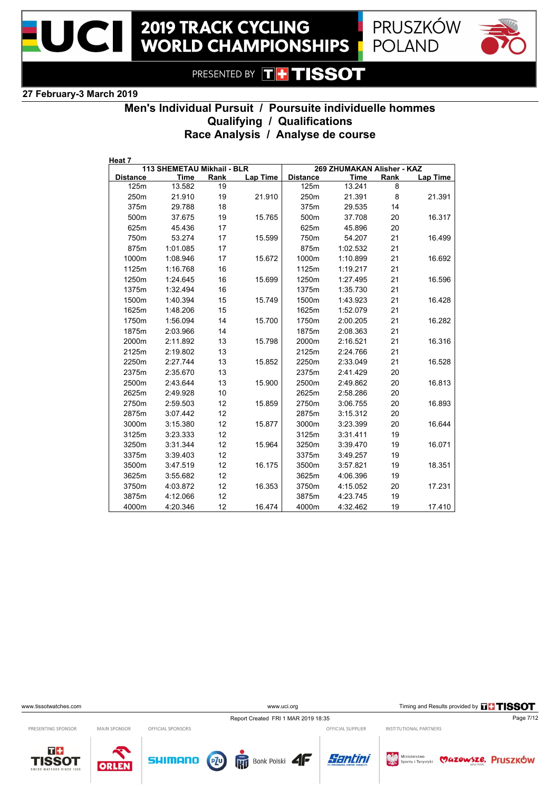





#### **27 February-3 March 2019**

# **Men's Individual Pursuit / Poursuite individuelle hommes Qualifying / Qualifications Race Analysis / Analyse de course**

| Heat 7          |                            |      |          |                 |                            |      |          |
|-----------------|----------------------------|------|----------|-----------------|----------------------------|------|----------|
|                 | 113 SHEMETAU Mikhail - BLR |      |          |                 | 269 ZHUMAKAN Alisher - KAZ |      |          |
| <b>Distance</b> | <b>Time</b>                | Rank | Lap Time | <b>Distance</b> | <b>Time</b>                | Rank | Lap Time |
| 125m            | 13.582                     | 19   |          | 125m            | 13.241                     | 8    |          |
| 250m            | 21.910                     | 19   | 21.910   | 250m            | 21.391                     | 8    | 21.391   |
| 375m            | 29.788                     | 18   |          | 375m            | 29.535                     | 14   |          |
| 500m            | 37.675                     | 19   | 15.765   | 500m            | 37.708                     | 20   | 16.317   |
| 625m            | 45.436                     | 17   |          | 625m            | 45.896                     | 20   |          |
| 750m            | 53.274                     | 17   | 15.599   | 750m            | 54.207                     | 21   | 16.499   |
| 875m            | 1:01.085                   | 17   |          | 875m            | 1:02.532                   | 21   |          |
| 1000m           | 1:08.946                   | 17   | 15.672   | 1000m           | 1:10.899                   | 21   | 16.692   |
| 1125m           | 1:16.768                   | 16   |          | 1125m           | 1:19.217                   | 21   |          |
| 1250m           | 1:24.645                   | 16   | 15.699   | 1250m           | 1:27.495                   | 21   | 16.596   |
| 1375m           | 1:32.494                   | 16   |          | 1375m           | 1:35.730                   | 21   |          |
| 1500m           | 1:40.394                   | 15   | 15.749   | 1500m           | 1:43.923                   | 21   | 16.428   |
| 1625m           | 1:48.206                   | 15   |          | 1625m           | 1:52.079                   | 21   |          |
| 1750m           | 1:56.094                   | 14   | 15.700   | 1750m           | 2:00.205                   | 21   | 16.282   |
| 1875m           | 2:03.966                   | 14   |          | 1875m           | 2:08.363                   | 21   |          |
| 2000m           | 2:11.892                   | 13   | 15.798   | 2000m           | 2:16.521                   | 21   | 16.316   |
| 2125m           | 2:19.802                   | 13   |          | 2125m           | 2:24.766                   | 21   |          |
| 2250m           | 2:27.744                   | 13   | 15.852   | 2250m           | 2:33.049                   | 21   | 16.528   |
| 2375m           | 2:35.670                   | 13   |          | 2375m           | 2:41.429                   | 20   |          |
| 2500m           | 2:43.644                   | 13   | 15.900   | 2500m           | 2:49.862                   | 20   | 16.813   |
| 2625m           | 2:49.928                   | 10   |          | 2625m           | 2:58.286                   | 20   |          |
| 2750m           | 2:59.503                   | 12   | 15.859   | 2750m           | 3:06.755                   | 20   | 16.893   |
| 2875m           | 3:07.442                   | 12   |          | 2875m           | 3:15.312                   | 20   |          |
| 3000m           | 3:15.380                   | 12   | 15.877   | 3000m           | 3:23.399                   | 20   | 16.644   |
| 3125m           | 3:23.333                   | 12   |          | 3125m           | 3:31.411                   | 19   |          |
| 3250m           | 3:31.344                   | 12   | 15.964   | 3250m           | 3:39.470                   | 19   | 16.071   |
| 3375m           | 3:39.403                   | 12   |          | 3375m           | 3:49.257                   | 19   |          |
| 3500m           | 3:47.519                   | 12   | 16.175   | 3500m           | 3:57.821                   | 19   | 18.351   |
| 3625m           | 3:55.682                   | 12   |          | 3625m           | 4:06.396                   | 19   |          |
| 3750m           | 4:03.872                   | 12   | 16.353   | 3750m           | 4:15.052                   | 20   | 17.231   |
| 3875m           | 4:12.066                   | 12   |          | 3875m           | 4:23.745                   | 19   |          |
| 4000m           | 4:20.346                   | 12   | 16.474   | 4000m           | 4:32.462                   | 19   | 17.410   |
|                 |                            |      |          |                 |                            |      |          |

www.uci.org Timing and Results provided by **THSSOT** 

Report Created FRI 1 MAR 2019 18:35 Page 7/12

Bank Polski

PRESENTING SPONSOR

MAIN SPONSOR





OFFICIAL SPONSORS

**SHIMANO** 

OFFICIAL SUPPLIER

Santini

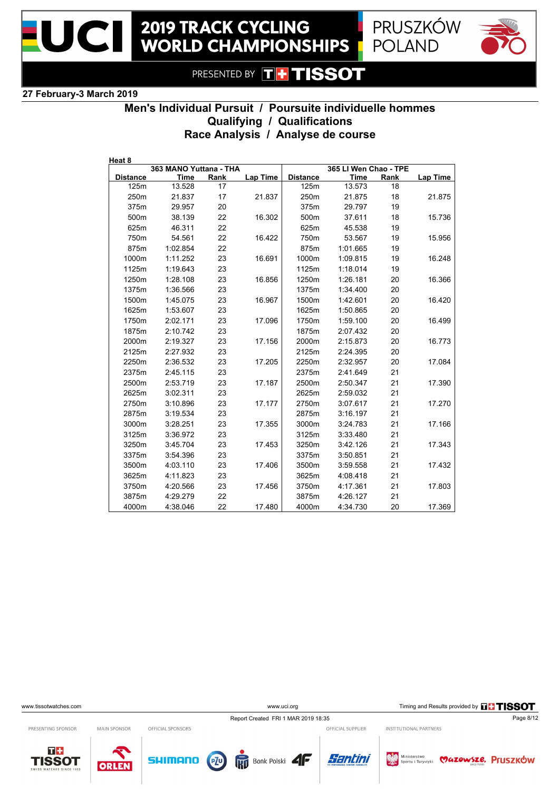



### **27 February-3 March 2019**

## **Men's Individual Pursuit / Poursuite individuelle hommes Qualifying / Qualifications Race Analysis / Analyse de course**

| Heat 8          |                                |      |                 |                 |                                      |      |                 |
|-----------------|--------------------------------|------|-----------------|-----------------|--------------------------------------|------|-----------------|
| <b>Distance</b> | 363 MANO Yuttana - THA<br>Time | Rank | <b>Lap Time</b> | <b>Distance</b> | 365 LI Wen Chao - TPE<br><b>Time</b> | Rank | <b>Lap Time</b> |
| 125m            | 13.528                         | 17   |                 | 125m            | 13.573                               | 18   |                 |
| 250m            | 21.837                         | 17   | 21.837          | 250m            | 21.875                               | 18   | 21.875          |
| 375m            | 29.957                         | 20   |                 | 375m            | 29.797                               | 19   |                 |
| 500m            | 38.139                         | 22   | 16.302          | 500m            | 37.611                               | 18   | 15.736          |
| 625m            | 46.311                         | 22   |                 | 625m            | 45.538                               | 19   |                 |
| 750m            | 54.561                         | 22   | 16.422          | 750m            | 53.567                               | 19   | 15.956          |
| 875m            | 1:02.854                       | 22   |                 | 875m            | 1:01.665                             | 19   |                 |
| 1000m           | 1:11.252                       | 23   | 16.691          | 1000m           | 1:09.815                             | 19   | 16.248          |
| 1125m           | 1:19.643                       | 23   |                 | 1125m           | 1:18.014                             | 19   |                 |
| 1250m           | 1:28.108                       | 23   | 16.856          | 1250m           | 1:26.181                             | 20   | 16.366          |
| 1375m           | 1:36.566                       | 23   |                 | 1375m           | 1:34.400                             | 20   |                 |
| 1500m           | 1:45.075                       | 23   | 16.967          | 1500m           | 1:42.601                             | 20   | 16.420          |
| 1625m           |                                | 23   |                 | 1625m           |                                      | 20   |                 |
|                 | 1:53.607                       |      |                 |                 | 1:50.865                             |      |                 |
| 1750m           | 2:02.171                       | 23   | 17.096          | 1750m           | 1:59.100                             | 20   | 16.499          |
| 1875m           | 2:10.742                       | 23   |                 | 1875m           | 2:07.432                             | 20   |                 |
| 2000m           | 2:19.327                       | 23   | 17.156          | 2000m           | 2:15.873                             | 20   | 16.773          |
| 2125m           | 2:27.932                       | 23   |                 | 2125m           | 2:24.395                             | 20   |                 |
| 2250m           | 2:36.532                       | 23   | 17.205          | 2250m           | 2:32.957                             | 20   | 17.084          |
| 2375m           | 2:45.115                       | 23   |                 | 2375m           | 2:41.649                             | 21   |                 |
| 2500m           | 2:53.719                       | 23   | 17.187          | 2500m           | 2:50.347                             | 21   | 17.390          |
| 2625m           | 3:02.311                       | 23   |                 | 2625m           | 2:59.032                             | 21   |                 |
| 2750m           | 3:10.896                       | 23   | 17.177          | 2750m           | 3:07.617                             | 21   | 17.270          |
| 2875m           | 3:19.534                       | 23   |                 | 2875m           | 3:16.197                             | 21   |                 |
| 3000m           | 3:28.251                       | 23   | 17.355          | 3000m           | 3:24.783                             | 21   | 17.166          |
| 3125m           | 3:36.972                       | 23   |                 | 3125m           | 3:33.480                             | 21   |                 |
| 3250m           | 3:45.704                       | 23   | 17.453          | 3250m           | 3:42.126                             | 21   | 17.343          |
| 3375m           | 3:54.396                       | 23   |                 | 3375m           | 3:50.851                             | 21   |                 |
| 3500m           | 4:03.110                       | 23   | 17.406          | 3500m           | 3:59.558                             | 21   | 17.432          |
| 3625m           | 4:11.823                       | 23   |                 | 3625m           | 4:08.418                             | 21   |                 |
| 3750m           | 4:20.566                       | 23   | 17.456          | 3750m           | 4:17.361                             | 21   | 17.803          |
| 3875m           | 4:29.279                       | 22   |                 | 3875m           | 4:26.127                             | 21   |                 |
| 4000m           | 4:38.046                       | 22   | 17.480          | 4000m           | 4:34.730                             | 20   | 17.369          |

www.uci.org Timing and Results provided by **THSSOT** 

Report Created FRI 1 MAR 2019 18:35 Page 8/12

Bank Polski

PRESENTING SPONSOR

MAIN SPONSOR

ORLEN







**SHIMANO** 

OFFICIAL SUPPLIER

Santini

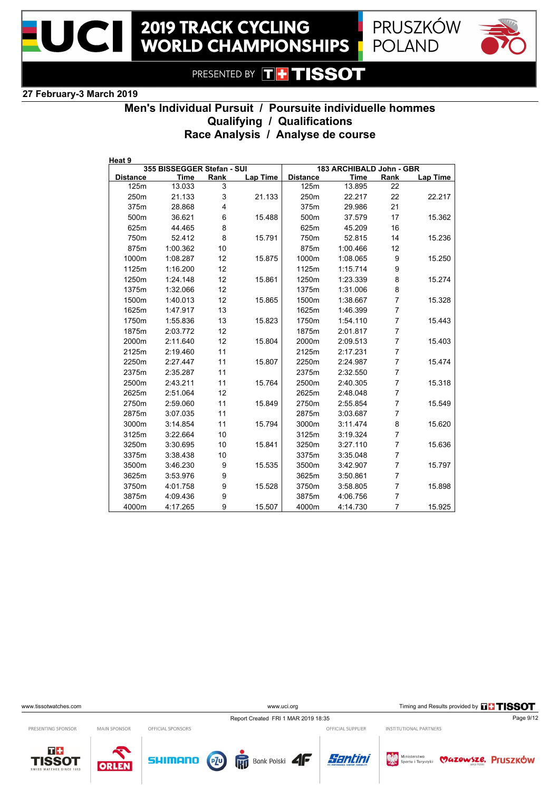





#### **27 February-3 March 2019**

# **Men's Individual Pursuit / Poursuite individuelle hommes Qualifying / Qualifications Race Analysis / Analyse de course**

| Heat 9          |                            |      |          |                 |                          |                |          |
|-----------------|----------------------------|------|----------|-----------------|--------------------------|----------------|----------|
|                 | 355 BISSEGGER Stefan - SUI |      |          |                 | 183 ARCHIBALD John - GBR |                |          |
| <b>Distance</b> | <b>Time</b>                | Rank | Lap Time | <b>Distance</b> | <b>Time</b>              | Rank           | Lap Time |
| 125m            | 13.033                     | 3    |          | 125m            | 13.895                   | 22             |          |
| 250m            | 21.133                     | 3    | 21.133   | 250m            | 22.217                   | 22             | 22.217   |
| 375m            | 28.868                     | 4    |          | 375m            | 29.986                   | 21             |          |
| 500m            | 36.621                     | 6    | 15.488   | 500m            | 37.579                   | 17             | 15.362   |
| 625m            | 44.465                     | 8    |          | 625m            | 45.209                   | 16             |          |
| 750m            | 52.412                     | 8    | 15.791   | 750m            | 52.815                   | 14             | 15.236   |
| 875m            | 1:00.362                   | 10   |          | 875m            | 1:00.466                 | 12             |          |
| 1000m           | 1:08.287                   | 12   | 15.875   | 1000m           | 1:08.065                 | 9              | 15.250   |
| 1125m           | 1:16.200                   | 12   |          | 1125m           | 1:15.714                 | 9              |          |
| 1250m           | 1:24.148                   | 12   | 15.861   | 1250m           | 1:23.339                 | 8              | 15.274   |
| 1375m           | 1:32.066                   | 12   |          | 1375m           | 1:31.006                 | 8              |          |
| 1500m           | 1:40.013                   | 12   | 15.865   | 1500m           | 1:38.667                 | 7              | 15.328   |
| 1625m           | 1:47.917                   | 13   |          | 1625m           | 1:46.399                 | $\overline{7}$ |          |
| 1750m           | 1:55.836                   | 13   | 15.823   | 1750m           | 1:54.110                 | $\overline{7}$ | 15.443   |
| 1875m           | 2:03.772                   | 12   |          | 1875m           | 2:01.817                 | $\overline{7}$ |          |
| 2000m           | 2:11.640                   | 12   | 15.804   | 2000m           | 2:09.513                 | $\overline{7}$ | 15.403   |
| 2125m           | 2:19.460                   | 11   |          | 2125m           | 2:17.231                 | 7              |          |
| 2250m           | 2:27.447                   | 11   | 15.807   | 2250m           | 2:24.987                 | $\overline{7}$ | 15.474   |
| 2375m           | 2:35.287                   | 11   |          | 2375m           | 2:32.550                 | $\overline{7}$ |          |
| 2500m           | 2:43.211                   | 11   | 15.764   | 2500m           | 2:40.305                 | 7              | 15.318   |
| 2625m           | 2:51.064                   | 12   |          | 2625m           | 2:48.048                 | 7              |          |
| 2750m           | 2:59.060                   | 11   | 15.849   | 2750m           | 2:55.854                 | 7              | 15.549   |
| 2875m           | 3:07.035                   | 11   |          | 2875m           | 3:03.687                 | $\overline{7}$ |          |
| 3000m           | 3:14.854                   | 11   | 15.794   | 3000m           | 3:11.474                 | 8              | 15.620   |
| 3125m           | 3:22.664                   | 10   |          | 3125m           | 3:19.324                 | $\overline{7}$ |          |
| 3250m           | 3:30.695                   | 10   | 15.841   | 3250m           | 3:27.110                 | $\overline{7}$ | 15.636   |
| 3375m           | 3:38.438                   | 10   |          | 3375m           | 3:35.048                 | $\overline{7}$ |          |
| 3500m           | 3:46.230                   | 9    | 15.535   | 3500m           | 3:42.907                 | 7              | 15.797   |
| 3625m           | 3:53.976                   | 9    |          | 3625m           | 3:50.861                 | 7              |          |
| 3750m           | 4:01.758                   | 9    | 15.528   | 3750m           | 3:58.805                 | $\overline{7}$ | 15.898   |
| 3875m           | 4:09.436                   | 9    |          | 3875m           | 4:06.756                 | 7              |          |
| 4000m           | 4:17.265                   | 9    | 15.507   | 4000m           | 4:14.730                 | $\overline{7}$ | 15.925   |

www.uci.org Timing and Results provided by **THSSOT** 

INSTITUTIONAL PARTNERS

Report Created FRI 1 MAR 2019 18:35 Page 9/12

PRESENTING SPONSOR

 $T +$ 

MAIN SPONSOR OFFICIAL SPONSORS

**TISSOT** 









OFFICIAL SUPPLIER

Ministerstwo **WAZOWSZE. Pruszków**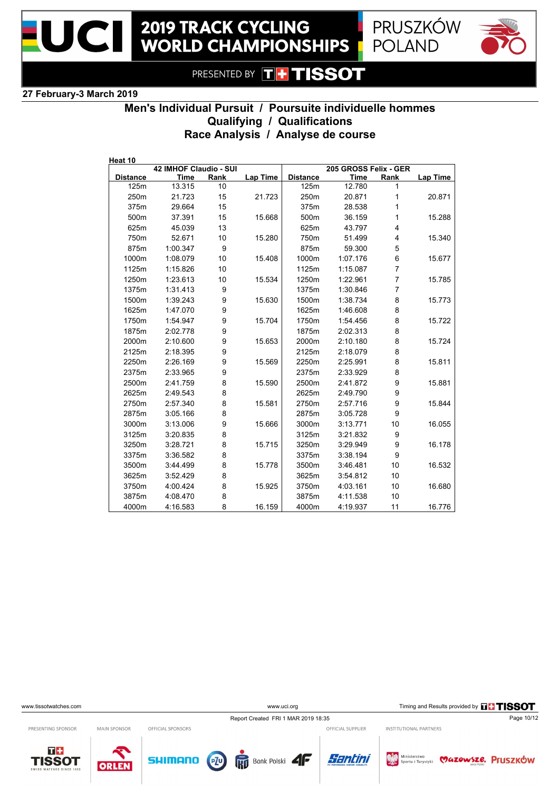



### **27 February-3 March 2019**

# **Men's Individual Pursuit / Poursuite individuelle hommes Qualifying / Qualifications Race Analysis / Analyse de course**

| Heat 10         |                        |      |                 |                 |                       |                |          |
|-----------------|------------------------|------|-----------------|-----------------|-----------------------|----------------|----------|
|                 | 42 IMHOF Claudio - SUI |      |                 |                 | 205 GROSS Felix - GER |                |          |
| <b>Distance</b> | <b>Time</b>            | Rank | <b>Lap Time</b> | <b>Distance</b> | <b>Time</b>           | Rank           | Lap Time |
| 125m            | 13.315                 | 10   |                 | 125m            | 12.780                | 1              |          |
| 250m            | 21.723                 | 15   | 21.723          | 250m            | 20.871                | 1              | 20.871   |
| 375m            | 29.664                 | 15   |                 | 375m            | 28.538                | 1              |          |
| 500m            | 37.391                 | 15   | 15.668          | 500m            | 36.159                | 1              | 15.288   |
| 625m            | 45.039                 | 13   |                 | 625m            | 43.797                | 4              |          |
| 750m            | 52.671                 | 10   | 15.280          | 750m            | 51.499                | 4              | 15.340   |
| 875m            | 1.00.347               | 9    |                 | 875m            | 59.300                | 5              |          |
| 1000m           | 1:08.079               | 10   | 15.408          | 1000m           | 1:07.176              | 6              | 15.677   |
| 1125m           | 1:15.826               | 10   |                 | 1125m           | 1:15.087              | $\overline{7}$ |          |
| 1250m           | 1:23.613               | 10   | 15.534          | 1250m           | 1:22.961              | 7              | 15.785   |
| 1375m           | 1:31.413               | 9    |                 | 1375m           | 1:30.846              | 7              |          |
| 1500m           | 1:39.243               | 9    | 15.630          | 1500m           | 1:38.734              | 8              | 15.773   |
| 1625m           | 1:47.070               | 9    |                 | 1625m           | 1.46.608              | 8              |          |
| 1750m           | 1:54.947               | 9    | 15.704          | 1750m           | 1:54.456              | 8              | 15.722   |
| 1875m           | 2:02.778               | 9    |                 | 1875m           | 2:02.313              | 8              |          |
| 2000m           | 2:10.600               | 9    | 15.653          | 2000m           | 2:10.180              | 8              | 15.724   |
| 2125m           | 2:18.395               | 9    |                 | 2125m           | 2:18.079              | 8              |          |
| 2250m           | 2:26.169               | 9    | 15.569          | 2250m           | 2:25.991              | 8              | 15.811   |
| 2375m           | 2:33.965               | 9    |                 | 2375m           | 2:33.929              | 8              |          |
| 2500m           | 2:41.759               | 8    | 15.590          | 2500m           | 2:41.872              | 9              | 15.881   |
| 2625m           | 2:49.543               | 8    |                 | 2625m           | 2:49.790              | 9              |          |
| 2750m           | 2:57.340               | 8    | 15.581          | 2750m           | 2:57.716              | 9              | 15.844   |
| 2875m           | 3:05.166               | 8    |                 | 2875m           | 3:05.728              | 9              |          |
| 3000m           | 3:13.006               | 9    | 15.666          | 3000m           | 3:13.771              | 10             | 16.055   |
| 3125m           | 3:20.835               | 8    |                 | 3125m           | 3:21.832              | 9              |          |
| 3250m           | 3:28.721               | 8    | 15.715          | 3250m           | 3:29.949              | 9              | 16.178   |
| 3375m           | 3:36.582               | 8    |                 | 3375m           | 3:38.194              | 9              |          |
| 3500m           | 3:44.499               | 8    | 15.778          | 3500m           | 3:46.481              | 10             | 16.532   |
| 3625m           | 3:52.429               | 8    |                 | 3625m           | 3:54.812              | 10             |          |
| 3750m           | 4:00.424               | 8    | 15.925          | 3750m           | 4:03.161              | 10             | 16.680   |
| 3875m           | 4:08.470               | 8    |                 | 3875m           | 4:11.538              | 10             |          |
| 4000m           | 4:16.583               | 8    | 16.159          | 4000m           | 4:19.937              | 11             | 16.776   |

www.uci.org Timing and Results provided by **THSSOT** 

Report Created FRI 1 MAR 2019 18:35 Page 10/12

Bank Polski

PRESENTING SPONSOR

MAIN SPONSOR

ORLEN





OFFICIAL SPONSORS

**SHIMANO** 

OFFICIAL SUPPLIER

Santini

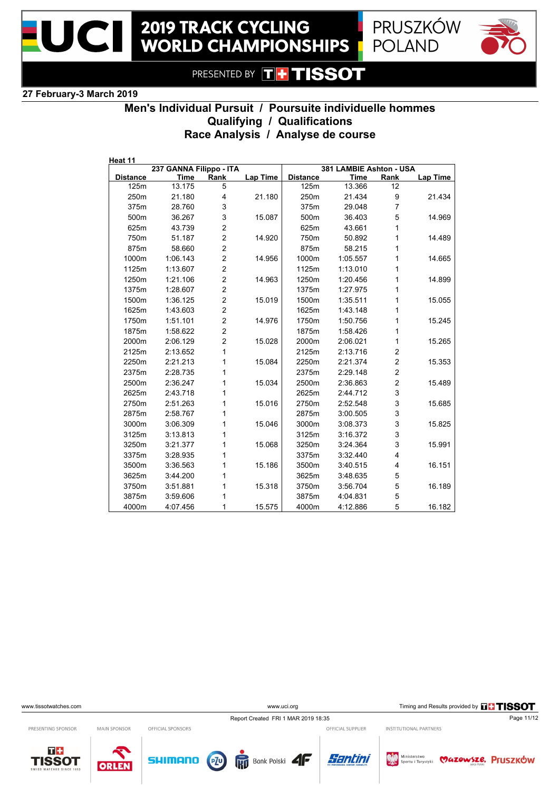





#### **27 February-3 March 2019**

# **Men's Individual Pursuit / Poursuite individuelle hommes Qualifying / Qualifications Race Analysis / Analyse de course**

| Heat 11         |                         |                |                 |                 |                         |                |          |
|-----------------|-------------------------|----------------|-----------------|-----------------|-------------------------|----------------|----------|
|                 | 237 GANNA Filippo - ITA |                |                 |                 | 381 LAMBIE Ashton - USA |                |          |
| <b>Distance</b> | <b>Time</b>             | Rank           | <b>Lap Time</b> | <b>Distance</b> | <b>Time</b>             | Rank           | Lap Time |
| 125m            | 13.175                  | 5              |                 | 125m            | 13.366                  | 12             |          |
| 250m            | 21.180                  | $\overline{4}$ | 21.180          | 250m            | 21.434                  | 9              | 21.434   |
| 375m            | 28.760                  | 3              |                 | 375m            | 29.048                  | $\overline{7}$ |          |
| 500m            | 36.267                  | 3              | 15.087          | 500m            | 36.403                  | 5              | 14.969   |
| 625m            | 43.739                  | $\overline{c}$ |                 | 625m            | 43.661                  | 1              |          |
| 750m            | 51.187                  | $\overline{c}$ | 14.920          | 750m            | 50.892                  | 1              | 14.489   |
| 875m            | 58.660                  | $\overline{c}$ |                 | 875m            | 58.215                  | 1              |          |
| 1000m           | 1:06.143                | $\overline{2}$ | 14.956          | 1000m           | 1:05.557                | 1              | 14.665   |
| 1125m           | 1:13.607                | $\overline{2}$ |                 | 1125m           | 1:13.010                | 1              |          |
| 1250m           | 1:21.106                | $\overline{c}$ | 14.963          | 1250m           | 1:20.456                | 1              | 14.899   |
| 1375m           | 1:28.607                | $\overline{2}$ |                 | 1375m           | 1:27.975                | 1              |          |
| 1500m           | 1:36.125                | $\overline{c}$ | 15.019          | 1500m           | 1:35.511                | 1              | 15.055   |
| 1625m           | 1:43.603                | $\overline{c}$ |                 | 1625m           | 1:43.148                | 1              |          |
| 1750m           | 1:51.101                | $\overline{2}$ | 14.976          | 1750m           | 1:50.756                | 1              | 15.245   |
| 1875m           | 1:58.622                | $\overline{2}$ |                 | 1875m           | 1:58.426                | 1              |          |
| 2000m           | 2:06.129                | $\overline{2}$ | 15.028          | 2000m           | 2:06.021                | 1              | 15.265   |
| 2125m           | 2:13.652                | 1              |                 | 2125m           | 2:13.716                | $\overline{c}$ |          |
| 2250m           | 2:21.213                | 1              | 15.084          | 2250m           | 2:21.374                | $\overline{c}$ | 15.353   |
| 2375m           | 2:28.735                | 1              |                 | 2375m           | 2:29.148                | $\mathbf 2$    |          |
| 2500m           | 2:36.247                | 1              | 15.034          | 2500m           | 2:36.863                | $\overline{2}$ | 15.489   |
| 2625m           | 2:43.718                | 1              |                 | 2625m           | 2:44.712                | 3              |          |
| 2750m           | 2:51.263                | 1              | 15.016          | 2750m           | 2:52.548                | 3              | 15.685   |
| 2875m           | 2:58.767                | 1              |                 | 2875m           | 3:00.505                | 3              |          |
| 3000m           | 3:06.309                | 1              | 15.046          | 3000m           | 3:08.373                | 3              | 15.825   |
| 3125m           | 3:13.813                | 1              |                 | 3125m           | 3:16.372                | 3              |          |
| 3250m           | 3:21.377                | 1              | 15.068          | 3250m           | 3:24.364                | 3              | 15.991   |
| 3375m           | 3:28.935                | 1              |                 | 3375m           | 3:32.440                | 4              |          |
| 3500m           | 3:36.563                | 1              | 15.186          | 3500m           | 3:40.515                | 4              | 16.151   |
| 3625m           | 3:44.200                | 1              |                 | 3625m           | 3:48.635                | 5              |          |
| 3750m           | 3:51.881                | 1              | 15.318          | 3750m           | 3:56.704                | 5              | 16.189   |
| 3875m           | 3:59.606                | 1              |                 | 3875m           | 4:04.831                | 5              |          |
| 4000m           | 4:07.456                | 1              | 15.575          | 4000m           | 4:12.886                | 5              | 16.182   |

www.uci.org Timing and Results provided by **THSSOT** 

INSTITUTIONAL PARTNERS

Report Created FRI 1 MAR 2019 18:35 Page 11/12 OFFICIAL SUPPLIER

PRESENTING SPONSOR

 $T +$ 

MAIN SPONSOR

OFFICIAL SPONSORS

**TISSOT** ORLEN









Ministerstwo **WAZOWSZE. Pruszków**